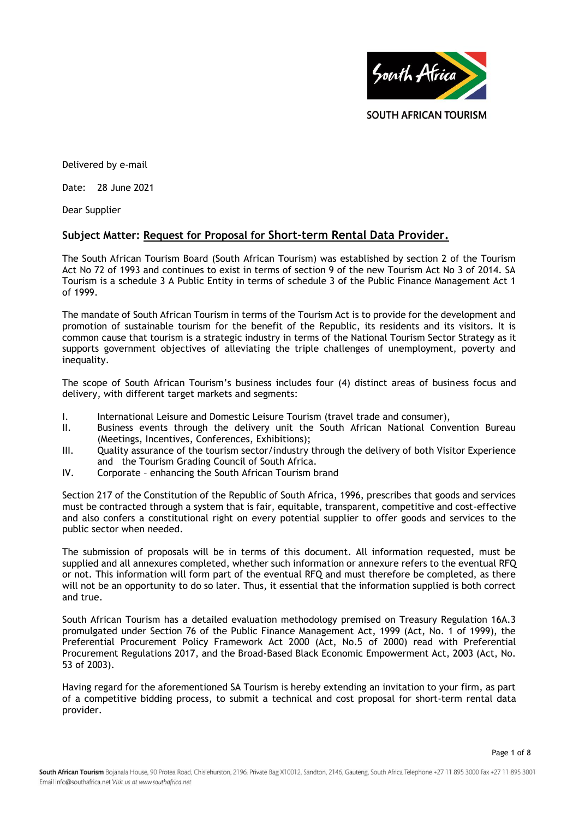

Delivered by e-mail

Date: 28 June 2021

Dear Supplier

## **Subject Matter: Request for Proposal for Short-term Rental Data Provider.**

The South African Tourism Board (South African Tourism) was established by section 2 of the Tourism Act No 72 of 1993 and continues to exist in terms of section 9 of the new Tourism Act No 3 of 2014. SA Tourism is a schedule 3 A Public Entity in terms of schedule 3 of the Public Finance Management Act 1 of 1999.

The mandate of South African Tourism in terms of the Tourism Act is to provide for the development and promotion of sustainable tourism for the benefit of the Republic, its residents and its visitors. It is common cause that tourism is a strategic industry in terms of the National Tourism Sector Strategy as it supports government objectives of alleviating the triple challenges of unemployment, poverty and inequality.

The scope of South African Tourism's business includes four (4) distinct areas of business focus and delivery, with different target markets and segments:

- I. International Leisure and Domestic Leisure Tourism (travel trade and consumer),
- II. Business events through the delivery unit the South African National Convention Bureau (Meetings, Incentives, Conferences, Exhibitions);
- III. Quality assurance of the tourism sector/industry through the delivery of both Visitor Experience and the Tourism Grading Council of South Africa.
- IV. Corporate enhancing the South African Tourism brand

Section 217 of the Constitution of the Republic of South Africa, 1996, prescribes that goods and services must be contracted through a system that is fair, equitable, transparent, competitive and cost-effective and also confers a constitutional right on every potential supplier to offer goods and services to the public sector when needed.

The submission of proposals will be in terms of this document. All information requested, must be supplied and all annexures completed, whether such information or annexure refers to the eventual RFQ or not. This information will form part of the eventual RFQ and must therefore be completed, as there will not be an opportunity to do so later. Thus, it essential that the information supplied is both correct and true.

South African Tourism has a detailed evaluation methodology premised on Treasury Regulation 16A.3 promulgated under Section 76 of the Public Finance Management Act, 1999 (Act, No. 1 of 1999), the Preferential Procurement Policy Framework Act 2000 (Act, No.5 of 2000) read with Preferential Procurement Regulations 2017, and the Broad-Based Black Economic Empowerment Act, 2003 (Act, No. 53 of 2003).

Having regard for the aforementioned SA Tourism is hereby extending an invitation to your firm, as part of a competitive bidding process, to submit a technical and cost proposal for short-term rental data provider.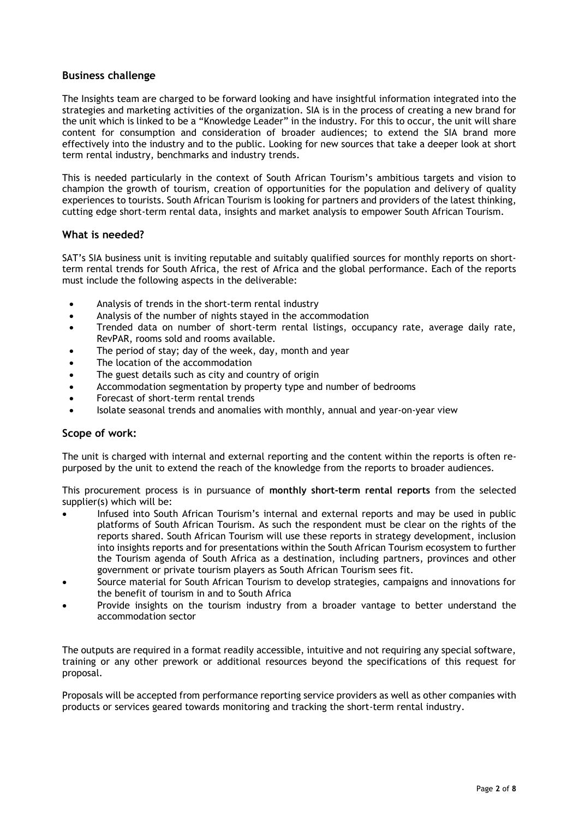## **Business challenge**

The Insights team are charged to be forward looking and have insightful information integrated into the strategies and marketing activities of the organization. SIA is in the process of creating a new brand for the unit which is linked to be a "Knowledge Leader" in the industry. For this to occur, the unit will share content for consumption and consideration of broader audiences; to extend the SIA brand more effectively into the industry and to the public. Looking for new sources that take a deeper look at short term rental industry, benchmarks and industry trends.

This is needed particularly in the context of South African Tourism's ambitious targets and vision to champion the growth of tourism, creation of opportunities for the population and delivery of quality experiences to tourists. South African Tourism is looking for partners and providers of the latest thinking, cutting edge short-term rental data, insights and market analysis to empower South African Tourism.

### **What is needed?**

SAT's SIA business unit is inviting reputable and suitably qualified sources for monthly reports on shortterm rental trends for South Africa, the rest of Africa and the global performance. Each of the reports must include the following aspects in the deliverable:

- Analysis of trends in the short-term rental industry
- Analysis of the number of nights stayed in the accommodation
- Trended data on number of short-term rental listings, occupancy rate, average daily rate, RevPAR, rooms sold and rooms available.
- The period of stay; day of the week, day, month and year
- The location of the accommodation
- The guest details such as city and country of origin
- Accommodation segmentation by property type and number of bedrooms
- Forecast of short-term rental trends
- Isolate seasonal trends and anomalies with monthly, annual and year-on-year view

### **Scope of work:**

The unit is charged with internal and external reporting and the content within the reports is often repurposed by the unit to extend the reach of the knowledge from the reports to broader audiences.

This procurement process is in pursuance of **monthly short-term rental reports** from the selected supplier(s) which will be:

- Infused into South African Tourism's internal and external reports and may be used in public platforms of South African Tourism. As such the respondent must be clear on the rights of the reports shared. South African Tourism will use these reports in strategy development, inclusion into insights reports and for presentations within the South African Tourism ecosystem to further the Tourism agenda of South Africa as a destination, including partners, provinces and other government or private tourism players as South African Tourism sees fit.
- Source material for South African Tourism to develop strategies, campaigns and innovations for the benefit of tourism in and to South Africa
- Provide insights on the tourism industry from a broader vantage to better understand the accommodation sector

The outputs are required in a format readily accessible, intuitive and not requiring any special software, training or any other prework or additional resources beyond the specifications of this request for proposal.

Proposals will be accepted from performance reporting service providers as well as other companies with products or services geared towards monitoring and tracking the short-term rental industry.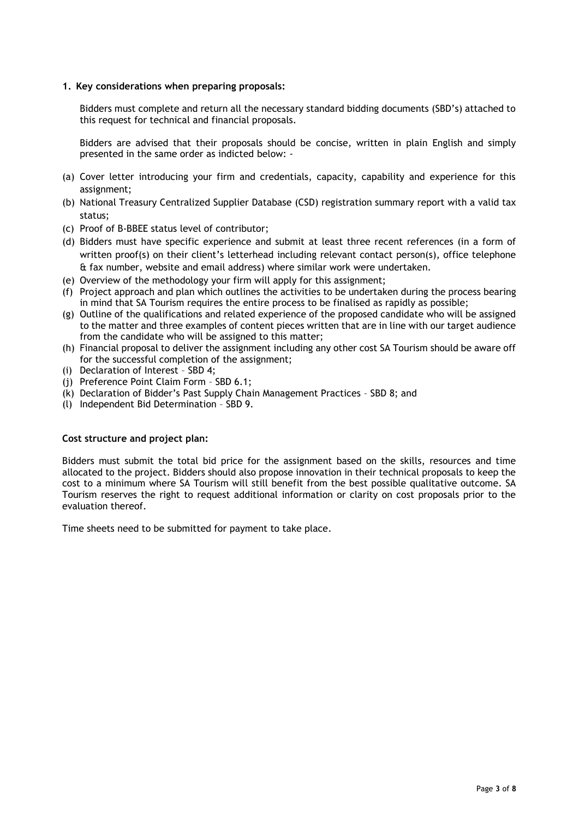#### **1. Key considerations when preparing proposals:**

Bidders must complete and return all the necessary standard bidding documents (SBD's) attached to this request for technical and financial proposals.

Bidders are advised that their proposals should be concise, written in plain English and simply presented in the same order as indicted below: -

- (a) Cover letter introducing your firm and credentials, capacity, capability and experience for this assignment;
- (b) National Treasury Centralized Supplier Database (CSD) registration summary report with a valid tax status;
- (c) Proof of B-BBEE status level of contributor;
- (d) Bidders must have specific experience and submit at least three recent references (in a form of written proof(s) on their client's letterhead including relevant contact person(s), office telephone & fax number, website and email address) where similar work were undertaken.
- (e) Overview of the methodology your firm will apply for this assignment;
- (f) Project approach and plan which outlines the activities to be undertaken during the process bearing in mind that SA Tourism requires the entire process to be finalised as rapidly as possible;
- (g) Outline of the qualifications and related experience of the proposed candidate who will be assigned to the matter and three examples of content pieces written that are in line with our target audience from the candidate who will be assigned to this matter;
- (h) Financial proposal to deliver the assignment including any other cost SA Tourism should be aware off for the successful completion of the assignment;
- (i) Declaration of Interest SBD 4;
- (j) Preference Point Claim Form SBD 6.1;
- (k) Declaration of Bidder's Past Supply Chain Management Practices SBD 8; and
- (l) Independent Bid Determination SBD 9.

#### **Cost structure and project plan:**

Bidders must submit the total bid price for the assignment based on the skills, resources and time allocated to the project. Bidders should also propose innovation in their technical proposals to keep the cost to a minimum where SA Tourism will still benefit from the best possible qualitative outcome. SA Tourism reserves the right to request additional information or clarity on cost proposals prior to the evaluation thereof.

Time sheets need to be submitted for payment to take place.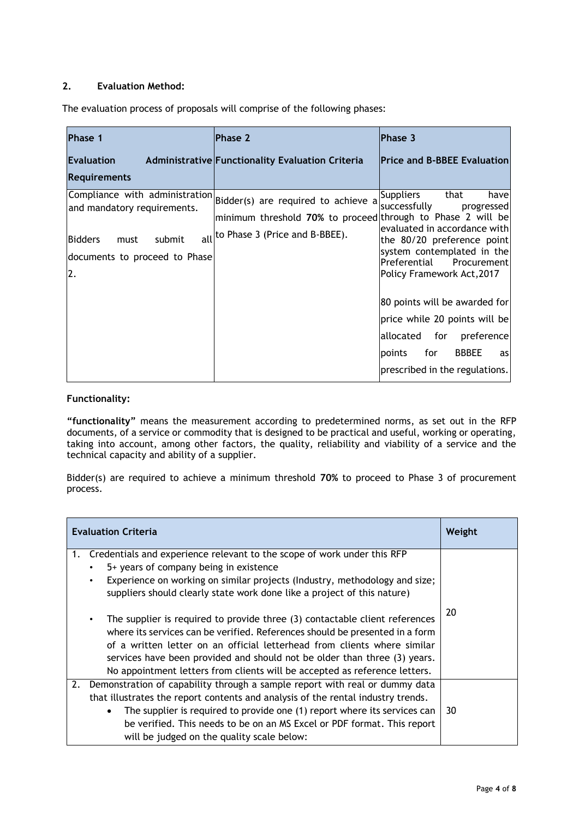# **2. Evaluation Method:**

The evaluation process of proposals will comprise of the following phases:

| <b>Phase 1</b>                                                                                         | Phase 2                                                                                                                                                                 | Phase 3                                                                                                                                                                                                          |
|--------------------------------------------------------------------------------------------------------|-------------------------------------------------------------------------------------------------------------------------------------------------------------------------|------------------------------------------------------------------------------------------------------------------------------------------------------------------------------------------------------------------|
| Evaluation                                                                                             | Administrative Functionality Evaluation Criteria                                                                                                                        | <b>Price and B-BBEE Evaluation</b>                                                                                                                                                                               |
| <b>Requirements</b>                                                                                    |                                                                                                                                                                         |                                                                                                                                                                                                                  |
| and mandatory requirements.<br><b>Bidders</b><br>submit<br>must<br>documents to proceed to Phase<br>2. | Compliance with administration Bidder(s) are required to achieve a<br>minimum threshold 70% to proceed through to Phase 2 will be<br>all to Phase 3 (Price and B-BBEE). | Suppliers<br>that<br>have<br>successfully<br>progressed<br>evaluated in accordance with<br>the 80/20 preference point<br>system contemplated in the<br>Preferential<br>Procurement<br>Policy Framework Act, 2017 |
|                                                                                                        |                                                                                                                                                                         | 80 points will be awarded for<br>price while 20 points will be<br>lallocated<br>for<br>preference<br>for<br><b>BBBEE</b><br>points<br>as<br>prescribed in the regulations.                                       |

## **Functionality:**

**"functionality"** means the measurement according to predetermined norms, as set out in the RFP documents, of a service or commodity that is designed to be practical and useful, working or operating, taking into account, among other factors, the quality, reliability and viability of a service and the technical capacity and ability of a supplier.

Bidder(s) are required to achieve a minimum threshold **70%** to proceed to Phase 3 of procurement process.

| <b>Evaluation Criteria</b> |                                                                                                                                                                                                                                                                                                                                                                                                    | Weight |
|----------------------------|----------------------------------------------------------------------------------------------------------------------------------------------------------------------------------------------------------------------------------------------------------------------------------------------------------------------------------------------------------------------------------------------------|--------|
| 1.                         | Credentials and experience relevant to the scope of work under this RFP<br>5+ years of company being in existence<br>Experience on working on similar projects (Industry, methodology and size;<br>suppliers should clearly state work done like a project of this nature)                                                                                                                         | 20     |
|                            | The supplier is required to provide three (3) contactable client references<br>where its services can be verified. References should be presented in a form<br>of a written letter on an official letterhead from clients where similar<br>services have been provided and should not be older than three (3) years.<br>No appointment letters from clients will be accepted as reference letters. |        |
| 2.                         | Demonstration of capability through a sample report with real or dummy data<br>that illustrates the report contents and analysis of the rental industry trends.<br>The supplier is required to provide one (1) report where its services can<br>be verified. This needs to be on an MS Excel or PDF format. This report<br>will be judged on the quality scale below:                              | 30     |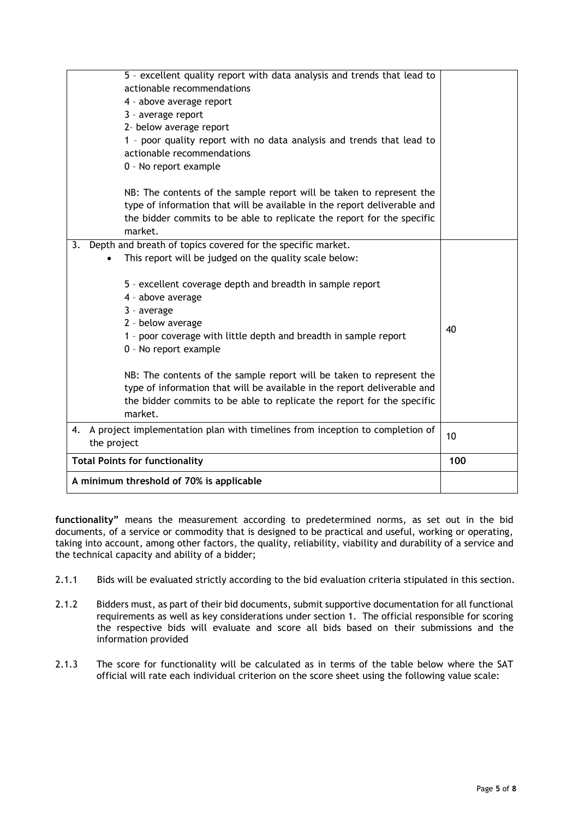| A minimum threshold of 70% is applicable                                                                                                                                                                                                                                                                           |     |
|--------------------------------------------------------------------------------------------------------------------------------------------------------------------------------------------------------------------------------------------------------------------------------------------------------------------|-----|
| <b>Total Points for functionality</b>                                                                                                                                                                                                                                                                              | 100 |
| A project implementation plan with timelines from inception to completion of<br>4.<br>the project                                                                                                                                                                                                                  | 10  |
| NB: The contents of the sample report will be taken to represent the<br>type of information that will be available in the report deliverable and<br>the bidder commits to be able to replicate the report for the specific<br>market.                                                                              |     |
| 5 - excellent coverage depth and breadth in sample report<br>4 - above average<br>3 - average<br>2 - below average<br>1 - poor coverage with little depth and breadth in sample report<br>0 - No report example                                                                                                    | 40  |
| Depth and breath of topics covered for the specific market.<br>3.<br>This report will be judged on the quality scale below:                                                                                                                                                                                        |     |
| NB: The contents of the sample report will be taken to represent the<br>type of information that will be available in the report deliverable and<br>the bidder commits to be able to replicate the report for the specific<br>market.                                                                              |     |
| 5 - excellent quality report with data analysis and trends that lead to<br>actionable recommendations<br>4 - above average report<br>3 - average report<br>2- below average report<br>1 - poor quality report with no data analysis and trends that lead to<br>actionable recommendations<br>0 - No report example |     |

**functionality"** means the measurement according to predetermined norms, as set out in the bid documents, of a service or commodity that is designed to be practical and useful, working or operating, taking into account, among other factors, the quality, reliability, viability and durability of a service and the technical capacity and ability of a bidder;

- 2.1.1 Bids will be evaluated strictly according to the bid evaluation criteria stipulated in this section.
- 2.1.2 Bidders must, as part of their bid documents, submit supportive documentation for all functional requirements as well as key considerations under section 1. The official responsible for scoring the respective bids will evaluate and score all bids based on their submissions and the information provided
- 2.1.3 The score for functionality will be calculated as in terms of the table below where the SAT official will rate each individual criterion on the score sheet using the following value scale: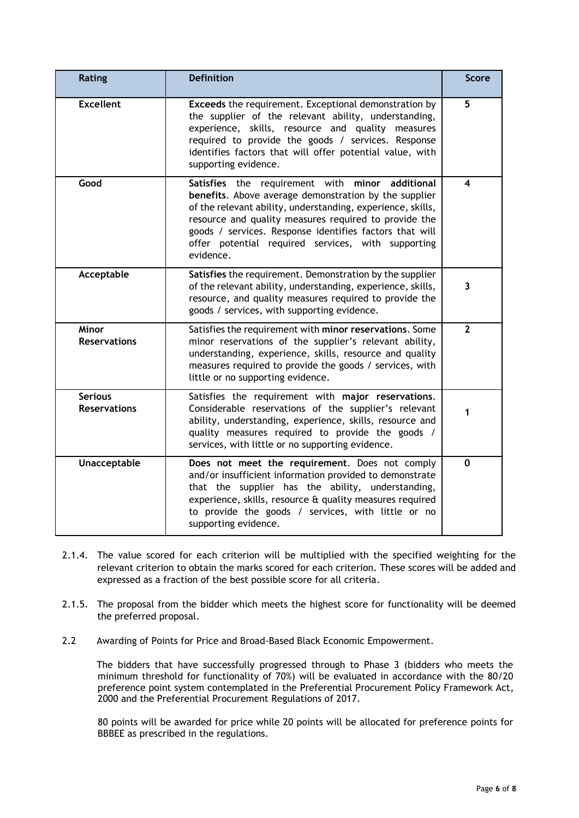| Rating                                | <b>Definition</b>                                                                                                                                                                                                                                                                                                                                              | <b>Score</b>            |
|---------------------------------------|----------------------------------------------------------------------------------------------------------------------------------------------------------------------------------------------------------------------------------------------------------------------------------------------------------------------------------------------------------------|-------------------------|
| <b>Excellent</b>                      | Exceeds the requirement. Exceptional demonstration by<br>the supplier of the relevant ability, understanding,<br>experience, skills, resource and quality measures<br>required to provide the goods / services. Response<br>identifies factors that will offer potential value, with<br>supporting evidence.                                                   | 5                       |
| Good                                  | Satisfies the requirement with minor additional<br>benefits. Above average demonstration by the supplier<br>of the relevant ability, understanding, experience, skills,<br>resource and quality measures required to provide the<br>goods / services. Response identifies factors that will<br>offer potential required services, with supporting<br>evidence. | 4                       |
| Acceptable                            | Satisfies the requirement. Demonstration by the supplier<br>of the relevant ability, understanding, experience, skills,<br>resource, and quality measures required to provide the<br>goods / services, with supporting evidence.                                                                                                                               | 3                       |
| Minor<br><b>Reservations</b>          | Satisfies the requirement with minor reservations. Some<br>minor reservations of the supplier's relevant ability,<br>understanding, experience, skills, resource and quality<br>measures required to provide the goods / services, with<br>little or no supporting evidence.                                                                                   | $\overline{\mathbf{z}}$ |
| <b>Serious</b><br><b>Reservations</b> | Satisfies the requirement with major reservations.<br>Considerable reservations of the supplier's relevant<br>ability, understanding, experience, skills, resource and<br>quality measures required to provide the goods /<br>services, with little or no supporting evidence.                                                                                 |                         |
| Unacceptable                          | Does not meet the requirement. Does not comply<br>and/or insufficient information provided to demonstrate<br>that the supplier has the ability, understanding,<br>experience, skills, resource & quality measures required<br>to provide the goods / services, with little or no<br>supporting evidence.                                                       | 0                       |

- 2.1.4. The value scored for each criterion will be multiplied with the specified weighting for the relevant criterion to obtain the marks scored for each criterion. These scores will be added and expressed as a fraction of the best possible score for all criteria.
- 2.1.5. The proposal from the bidder which meets the highest score for functionality will be deemed the preferred proposal.
- 2.2 Awarding of Points for Price and Broad-Based Black Economic Empowerment.

The bidders that have successfully progressed through to Phase 3 (bidders who meets the minimum threshold for functionality of 70%) will be evaluated in accordance with the 80/20 preference point system contemplated in the Preferential Procurement Policy Framework Act, 2000 and the Preferential Procurement Regulations of 2017.

80 points will be awarded for price while 20 points will be allocated for preference points for BBBEE as prescribed in the regulations.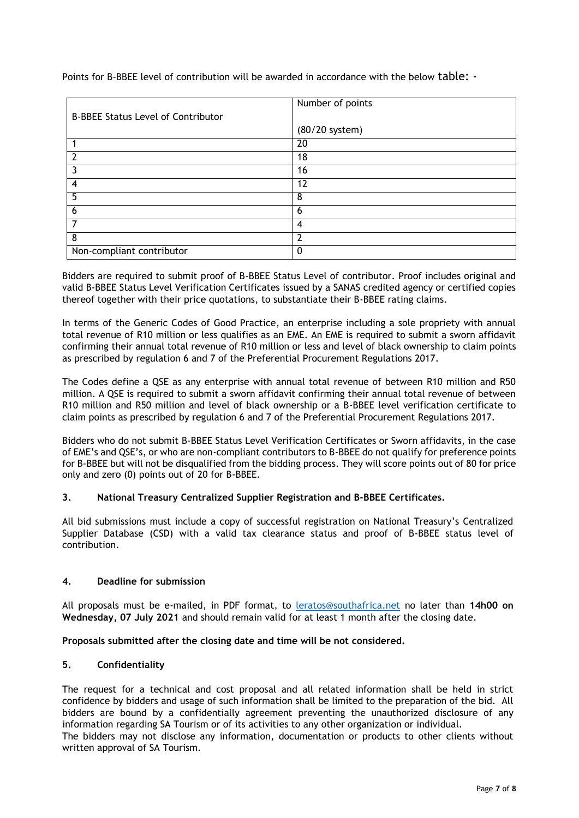|                                           | Number of points |  |
|-------------------------------------------|------------------|--|
| <b>B-BBEE Status Level of Contributor</b> |                  |  |
|                                           | (80/20 system)   |  |
|                                           | 20               |  |
| $\overline{2}$                            | 18               |  |
| 3                                         | 16               |  |
| $\boldsymbol{4}$                          | 12               |  |
| $\overline{5}$                            | 8                |  |
| 6                                         | 6                |  |
|                                           | 4                |  |
| 8                                         | າ                |  |
| Non-compliant contributor                 |                  |  |

Points for B-BBEE level of contribution will be awarded in accordance with the below table: -

Bidders are required to submit proof of B-BBEE Status Level of contributor. Proof includes original and valid B-BBEE Status Level Verification Certificates issued by a SANAS credited agency or certified copies thereof together with their price quotations, to substantiate their B-BBEE rating claims.

In terms of the Generic Codes of Good Practice, an enterprise including a sole propriety with annual total revenue of R10 million or less qualifies as an EME. An EME is required to submit a sworn affidavit confirming their annual total revenue of R10 million or less and level of black ownership to claim points as prescribed by regulation 6 and 7 of the Preferential Procurement Regulations 2017.

The Codes define a QSE as any enterprise with annual total revenue of between R10 million and R50 million. A QSE is required to submit a sworn affidavit confirming their annual total revenue of between R10 million and R50 million and level of black ownership or a B-BBEE level verification certificate to claim points as prescribed by regulation 6 and 7 of the Preferential Procurement Regulations 2017.

Bidders who do not submit B-BBEE Status Level Verification Certificates or Sworn affidavits, in the case of EME's and QSE's, or who are non-compliant contributors to B-BBEE do not qualify for preference points for B-BBEE but will not be disqualified from the bidding process. They will score points out of 80 for price only and zero (0) points out of 20 for B-BBEE.

# **3. National Treasury Centralized Supplier Registration and B-BBEE Certificates.**

All bid submissions must include a copy of successful registration on National Treasury's Centralized Supplier Database (CSD) with a valid tax clearance status and proof of B-BBEE status level of contribution.

### **4. Deadline for submission**

All proposals must be e-mailed, in PDF format, to [leratos@southafrica.net](mailto:leratos@southafrica.net) no later than **14h00 on Wednesday, 07 July 2021** and should remain valid for at least 1 month after the closing date.

**Proposals submitted after the closing date and time will be not considered.**

### **5. Confidentiality**

The request for a technical and cost proposal and all related information shall be held in strict confidence by bidders and usage of such information shall be limited to the preparation of the bid. All bidders are bound by a confidentially agreement preventing the unauthorized disclosure of any information regarding SA Tourism or of its activities to any other organization or individual.

The bidders may not disclose any information, documentation or products to other clients without written approval of SA Tourism.